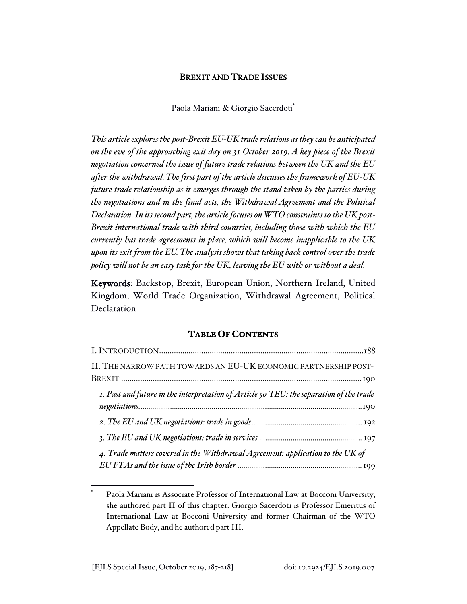## BREXIT AND TRADE ISSUES

Paola Mariani & Giorgio Sacerdoti\*

*This article explores the post-Brexit EU-UK trade relations as they can be anticipated on the eve of the approaching exit day on 31 October 2019. A key piece of the Brexit negotiation concerned the issue of future trade relations between the UK and the EU after the withdrawal. The first part of the article discusses the framework of EU-UK future trade relationship as it emerges through the stand taken by the parties during the negotiations and in the final acts, the Withdrawal Agreement and the Political Declaration. In its second part, the article focuses on WTO constraints to the UK post-Brexit international trade with third countries, including those with which the EU currently has trade agreements in place, which will become inapplicable to the UK upon its exit from the EU. The analysis shows that taking back control over the trade policy will not be an easy task for the UK, leaving the EU with or without a deal.*

Keywords: Backstop, Brexit, European Union, Northern Ireland, United Kingdom, World Trade Organization, Withdrawal Agreement, Political Declaration

### **TABLE OF CONTENTS**

| II. THE NARROW PATH TOWARDS AN EU-UK ECONOMIC PARTNERSHIP POST-                         |
|-----------------------------------------------------------------------------------------|
|                                                                                         |
| I. Past and future in the interpretation of Article 50 TEU: the separation of the trade |
|                                                                                         |
|                                                                                         |
| 4. Trade matters covered in the Withdrawal Agreement: application to the UK of          |

Paola Mariani is Associate Professor of International Law at Bocconi University, she authored part II of this chapter. Giorgio Sacerdoti is Professor Emeritus of International Law at Bocconi University and former Chairman of the WTO Appellate Body, and he authored part III.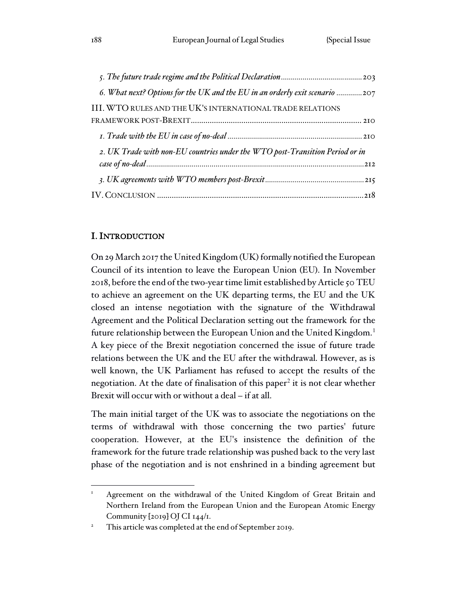| 6. What next? Options for the UK and the EU in an orderly exit scenario 207  |
|------------------------------------------------------------------------------|
| III. WTO RULES AND THE UK'S INTERNATIONAL TRADE RELATIONS                    |
|                                                                              |
|                                                                              |
| 2. UK Trade with non-EU countries under the WTO post-Transition Period or in |
|                                                                              |
|                                                                              |
|                                                                              |

## I. INTRODUCTION

On 29 March 2017 the United Kingdom (UK) formally notified the European Council of its intention to leave the European Union (EU). In November 2018, before the end of the two-year time limit established by Article 50 TEU to achieve an agreement on the UK departing terms, the EU and the UK closed an intense negotiation with the signature of the Withdrawal Agreement and the Political Declaration setting out the framework for the future relationship between the European Union and the United Kingdom.<sup>1</sup> A key piece of the Brexit negotiation concerned the issue of future trade relations between the UK and the EU after the withdrawal. However, as is well known, the UK Parliament has refused to accept the results of the negotiation. At the date of finalisation of this paper<sup>2</sup> it is not clear whether Brexit will occur with or without a deal – if at all.

The main initial target of the UK was to associate the negotiations on the terms of withdrawal with those concerning the two parties' future cooperation. However, at the EU's insistence the definition of the framework for the future trade relationship was pushed back to the very last phase of the negotiation and is not enshrined in a binding agreement but

Agreement on the withdrawal of the United Kingdom of Great Britain and Northern Ireland from the European Union and the European Atomic Energy Community [2019] OJ CI 144/1.

<sup>&</sup>lt;sup>2</sup> This article was completed at the end of September 2019.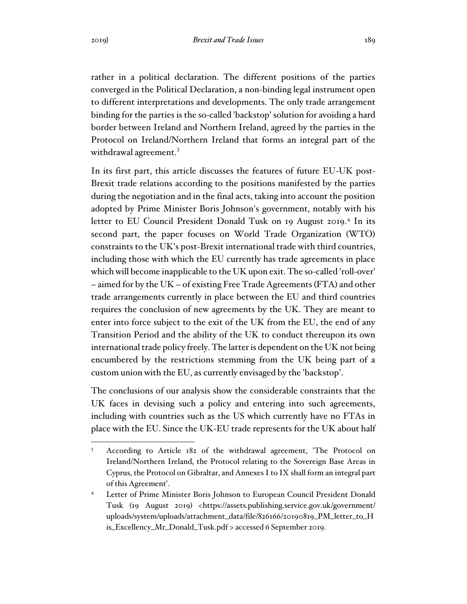rather in a political declaration. The different positions of the parties converged in the Political Declaration, a non-binding legal instrument open to different interpretations and developments. The only trade arrangement binding for the parties is the so-called 'backstop' solution for avoiding a hard border between Ireland and Northern Ireland, agreed by the parties in the Protocol on Ireland/Northern Ireland that forms an integral part of the withdrawal agreement.<sup>3</sup>

In its first part, this article discusses the features of future EU-UK post-Brexit trade relations according to the positions manifested by the parties during the negotiation and in the final acts, taking into account the position adopted by Prime Minister Boris Johnson's government, notably with his letter to EU Council President Donald Tusk on 19 August 2019.<sup>4</sup> In its second part, the paper focuses on World Trade Organization (WTO) constraints to the UK's post-Brexit international trade with third countries, including those with which the EU currently has trade agreements in place which will become inapplicable to the UK upon exit. The so-called 'roll-over' – aimed for by the UK – of existing Free Trade Agreements (FTA) and other trade arrangements currently in place between the EU and third countries requires the conclusion of new agreements by the UK. They are meant to enter into force subject to the exit of the UK from the EU, the end of any Transition Period and the ability of the UK to conduct thereupon its own international trade policy freely. The latter is dependent on the UK not being encumbered by the restrictions stemming from the UK being part of a custom union with the EU, as currently envisaged by the 'backstop'.

The conclusions of our analysis show the considerable constraints that the UK faces in devising such a policy and entering into such agreements, including with countries such as the US which currently have no FTAs in place with the EU. Since the UK-EU trade represents for the UK about half

<sup>&</sup>lt;sup>3</sup> According to Article 182 of the withdrawal agreement, 'The Protocol on Ireland/Northern Ireland, the Protocol relating to the Sovereign Base Areas in Cyprus, the Protocol on Gibraltar, and Annexes I to IX shall form an integral part of this Agreement'.

<sup>4</sup> Letter of Prime Minister Boris Johnson to European Council President Donald Tusk (19 August 2019) <https://assets.publishing.service.gov.uk/government/ uploads/system/uploads/attachment\_data/file/826166/20190819\_PM\_letter\_to\_H is\_Excellency\_Mr\_Donald\_Tusk.pdf > accessed 6 September 2019.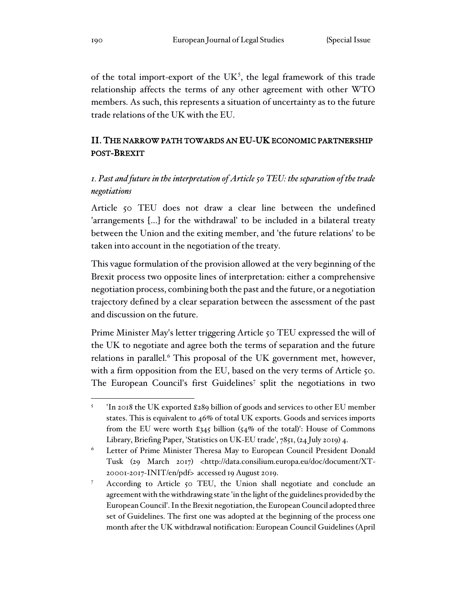of the total import-export of the  $UK<sup>5</sup>$ , the legal framework of this trade relationship affects the terms of any other agreement with other WTO members. As such, this represents a situation of uncertainty as to the future trade relations of the UK with the EU.

# II. THE NARROW PATH TOWARDS AN EU-UK ECONOMIC PARTNERSHIP POST-BREXIT

# *1. Past and future in the interpretation of Article 50 TEU: the separation of the trade negotiations*

Article 50 TEU does not draw a clear line between the undefined 'arrangements […] for the withdrawal' to be included in a bilateral treaty between the Union and the exiting member, and 'the future relations' to be taken into account in the negotiation of the treaty.

This vague formulation of the provision allowed at the very beginning of the Brexit process two opposite lines of interpretation: either a comprehensive negotiation process, combining both the past and the future, or a negotiation trajectory defined by a clear separation between the assessment of the past and discussion on the future.

Prime Minister May's letter triggering Article 50 TEU expressed the will of the UK to negotiate and agree both the terms of separation and the future relations in parallel.<sup>6</sup> This proposal of the UK government met, however, with a firm opposition from the EU, based on the very terms of Article 50. The European Council's first Guidelines<sup>7</sup> split the negotiations in two

<sup>5</sup> 'In 2018 the UK exported £289 billion of goods and services to other EU member states. This is equivalent to 46% of total UK exports. Goods and services imports from the EU were worth £345 billion (54% of the total)': House of Commons Library, Briefing Paper, 'Statistics on UK-EU trade', 7851, (24 July 2019) 4.

<sup>&</sup>lt;sup>6</sup> Letter of Prime Minister Theresa May to European Council President Donald Tusk (29 March 2017) <http://data.consilium.europa.eu/doc/document/XT-20001-2017-INIT/en/pdf> accessed 19 August 2019.

According to Article 50 TEU, the Union shall negotiate and conclude an agreement with the withdrawing state 'in the light of the guidelines provided by the European Council'. In the Brexit negotiation, the European Council adopted three set of Guidelines. The first one was adopted at the beginning of the process one month after the UK withdrawal notification: European Council Guidelines (April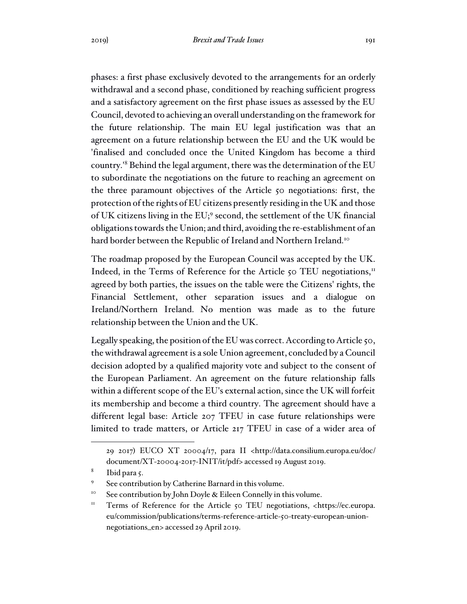phases: a first phase exclusively devoted to the arrangements for an orderly withdrawal and a second phase, conditioned by reaching sufficient progress and a satisfactory agreement on the first phase issues as assessed by the EU Council, devoted to achieving an overall understanding on the framework for the future relationship. The main EU legal justification was that an agreement on a future relationship between the EU and the UK would be 'finalised and concluded once the United Kingdom has become a third country.'<sup>8</sup> Behind the legal argument, there was the determination of the EU to subordinate the negotiations on the future to reaching an agreement on the three paramount objectives of the Article 50 negotiations: first, the protection of the rights of EU citizens presently residing in the UK and those of UK citizens living in the EU;<sup>9</sup> second, the settlement of the UK financial obligations towards the Union; and third, avoiding the re-establishment of an hard border between the Republic of Ireland and Northern Ireland.<sup>10</sup>

The roadmap proposed by the European Council was accepted by the UK. Indeed, in the Terms of Reference for the Article 50 TEU negotiations, $<sup>11</sup>$ </sup> agreed by both parties, the issues on the table were the Citizens' rights, the Financial Settlement, other separation issues and a dialogue on Ireland/Northern Ireland. No mention was made as to the future relationship between the Union and the UK.

Legally speaking, the position of the EU was correct. According to Article 50, the withdrawal agreement is a sole Union agreement, concluded by a Council decision adopted by a qualified majority vote and subject to the consent of the European Parliament. An agreement on the future relationship falls within a different scope of the EU's external action, since the UK will forfeit its membership and become a third country. The agreement should have a different legal base: Article 207 TFEU in case future relationships were limited to trade matters, or Article 217 TFEU in case of a wider area of

<sup>29 2017)</sup> EUCO XT 20004/17, para II <http://data.consilium.europa.eu/doc/ document/XT-20004-2017-INIT/it/pdf> accessed 19 August 2019.

<sup>8</sup> Ibid para 5.

See contribution by Catherine Barnard in this volume.

<sup>&</sup>lt;sup>10</sup> See contribution by John Doyle & Eileen Connelly in this volume.

<sup>&</sup>lt;sup>11</sup> Terms of Reference for the Article 50 TEU negotiations, <https://ec.europa. eu/commission/publications/terms-reference-article-50-treaty-european-unionnegotiations\_en> accessed 29 April 2019.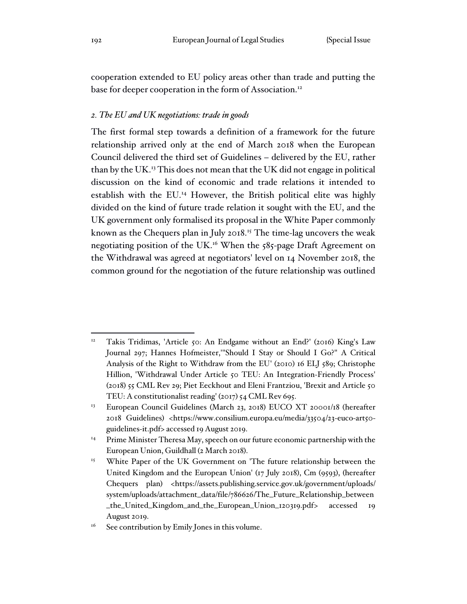cooperation extended to EU policy areas other than trade and putting the base for deeper cooperation in the form of Association.<sup>12</sup>

### *2. The EU and UK negotiations: trade in goods*

The first formal step towards a definition of a framework for the future relationship arrived only at the end of March 2018 when the European Council delivered the third set of Guidelines – delivered by the EU, rather than by the UK.<sup>13</sup> This does not mean that the UK did not engage in political discussion on the kind of economic and trade relations it intended to establish with the EU.<sup>14</sup> However, the British political elite was highly divided on the kind of future trade relation it sought with the EU, and the UK government only formalised its proposal in the White Paper commonly known as the Chequers plan in July 2018.<sup>15</sup> The time-lag uncovers the weak negotiating position of the UK.<sup>16</sup> When the 585-page Draft Agreement on the Withdrawal was agreed at negotiators' level on 14 November 2018, the common ground for the negotiation of the future relationship was outlined

<sup>12</sup> Takis Tridimas, 'Article 50: An Endgame without an End?' (2016) King's Law Journal 297; Hannes Hofmeister,'"Should I Stay or Should I Go?" A Critical Analysis of the Right to Withdraw from the EU' (2010) 16 ELJ 589; Christophe Hillion, 'Withdrawal Under Article 50 TEU: An Integration-Friendly Process' (2018) 55 CML Rev 29; Piet Eeckhout and Eleni Frantziou, 'Brexit and Article 50 TEU: A constitutionalist reading' (2017) 54 CML Rev 695.

<sup>&</sup>lt;sup>13</sup> European Council Guidelines (March 23, 2018) EUCO XT 20001/18 (hereafter 2018 Guidelines) <https://www.consilium.europa.eu/media/33504/23-euco-art50 guidelines-it.pdf> accessed 19 August 2019.

<sup>&</sup>lt;sup>14</sup> Prime Minister Theresa May, speech on our future economic partnership with the European Union, Guildhall (2 March 2018).

<sup>&</sup>lt;sup>15</sup> White Paper of the UK Government on 'The future relationship between the United Kingdom and the European Union' (17 July 2018), Cm (9593), (hereafter Chequers plan) <https://assets.publishing.service.gov.uk/government/uploads/ system/uploads/attachment\_data/file/786626/The\_Future\_Relationship\_between \_the\_United\_Kingdom\_and\_the\_European\_Union\_120319.pdf> accessed 19 August 2019.

 $16$  See contribution by Emily Jones in this volume.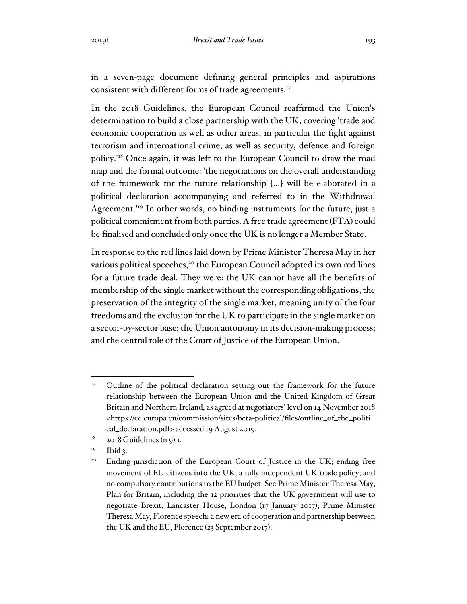in a seven-page document defining general principles and aspirations consistent with different forms of trade agreements.<sup>17</sup>

In the 2018 Guidelines, the European Council reaffirmed the Union's determination to build a close partnership with the UK, covering 'trade and economic cooperation as well as other areas, in particular the fight against terrorism and international crime, as well as security, defence and foreign policy.'<sup>18</sup> Once again, it was left to the European Council to draw the road map and the formal outcome: 'the negotiations on the overall understanding of the framework for the future relationship […] will be elaborated in a political declaration accompanying and referred to in the Withdrawal Agreement.'<sup>19</sup> In other words, no binding instruments for the future, just a political commitment from both parties. A free trade agreement (FTA) could be finalised and concluded only once the UK is no longer a Member State.

In response to the red lines laid down by Prime Minister Theresa May in her various political speeches,<sup>20</sup> the European Council adopted its own red lines for a future trade deal. They were: the UK cannot have all the benefits of membership of the single market without the corresponding obligations; the preservation of the integrity of the single market, meaning unity of the four freedoms and the exclusion for the UK to participate in the single market on a sector-by-sector base; the Union autonomy in its decision-making process; and the central role of the Court of Justice of the European Union.

Outline of the political declaration setting out the framework for the future relationship between the European Union and the United Kingdom of Great Britain and Northern Ireland, as agreed at negotiators' level on 14 November 2018 <https://ec.europa.eu/commission/sites/beta-political/files/outline\_of\_the\_politi cal\_declaration.pdf> accessed 19 August 2019.

 $18$  2018 Guidelines (n 9) I.

 $19$  Ibid 3.

<sup>&</sup>lt;sup>20</sup> Ending jurisdiction of the European Court of Justice in the UK; ending free movement of EU citizens into the UK; a fully independent UK trade policy; and no compulsory contributions to the EU budget. See Prime Minister Theresa May, Plan for Britain, including the 12 priorities that the UK government will use to negotiate Brexit, Lancaster House, London (17 January 2017); Prime Minister Theresa May, Florence speech: a new era of cooperation and partnership between the UK and the EU, Florence (23 September 2017).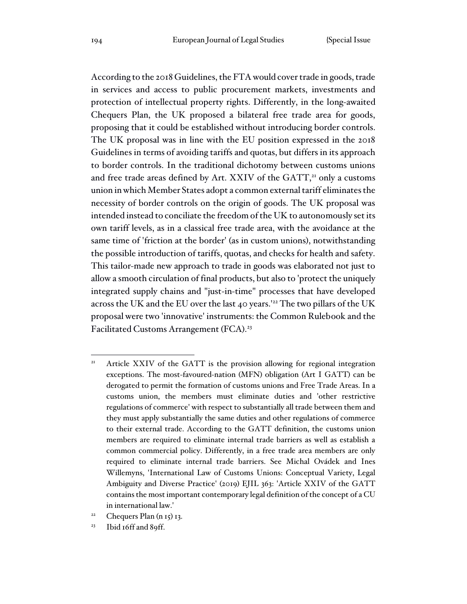According to the 2018 Guidelines, the FTA would cover trade in goods, trade in services and access to public procurement markets, investments and protection of intellectual property rights. Differently, in the long-awaited Chequers Plan, the UK proposed a bilateral free trade area for goods, proposing that it could be established without introducing border controls. The UK proposal was in line with the EU position expressed in the 2018 Guidelines in terms of avoiding tariffs and quotas, but differs in its approach to border controls. In the traditional dichotomy between customs unions and free trade areas defined by Art. XXIV of the GATT,<sup>21</sup> only a customs union in which Member States adopt a common external tariff eliminates the necessity of border controls on the origin of goods. The UK proposal was intended instead to conciliate the freedom of the UK to autonomously set its own tariff levels, as in a classical free trade area, with the avoidance at the same time of 'friction at the border' (as in custom unions), notwithstanding the possible introduction of tariffs, quotas, and checks for health and safety. This tailor-made new approach to trade in goods was elaborated not just to allow a smooth circulation of final products, but also to 'protect the uniquely integrated supply chains and "just-in-time" processes that have developed across the UK and the EU over the last 40 years.'<sup>22</sup> The two pillars of the UK proposal were two 'innovative' instruments: the Common Rulebook and the Facilitated Customs Arrangement (FCA).<sup>23</sup>

- <sup>22</sup> Chequers Plan  $(n 15)$  13.
- $23$  Ibid 16ff and 89ff.

<sup>&</sup>lt;sup>21</sup> Article XXIV of the GATT is the provision allowing for regional integration exceptions. The most-favoured-nation (MFN) obligation (Art I GATT) can be derogated to permit the formation of customs unions and Free Trade Areas. In a customs union, the members must eliminate duties and 'other restrictive regulations of commerce' with respect to substantially all trade between them and they must apply substantially the same duties and other regulations of commerce to their external trade. According to the GATT definition, the customs union members are required to eliminate internal trade barriers as well as establish a common commercial policy. Differently, in a free trade area members are only required to eliminate internal trade barriers. See Michal Ovádek and Ines Willemyns, 'International Law of Customs Unions: Conceptual Variety, Legal Ambiguity and Diverse Practice' (2019) EJIL 363: 'Article XXIV of the GATT contains the most important contemporary legal definition of the concept of a CU in international law.'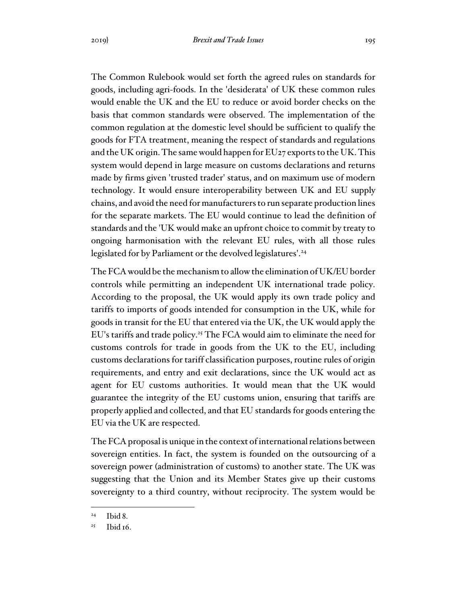The Common Rulebook would set forth the agreed rules on standards for goods, including agri-foods. In the 'desiderata' of UK these common rules would enable the UK and the EU to reduce or avoid border checks on the basis that common standards were observed. The implementation of the common regulation at the domestic level should be sufficient to qualify the goods for FTA treatment, meaning the respect of standards and regulations and the UK origin. The same would happen for EU27 exports to the UK. This system would depend in large measure on customs declarations and returns made by firms given 'trusted trader' status, and on maximum use of modern technology. It would ensure interoperability between UK and EU supply chains, and avoid the need for manufacturers to run separate production lines for the separate markets. The EU would continue to lead the definition of standards and the 'UK would make an upfront choice to commit by treaty to ongoing harmonisation with the relevant EU rules, with all those rules legislated for by Parliament or the devolved legislatures'.<sup>24</sup>

The FCA would be the mechanism to allow the elimination of UK/EU border controls while permitting an independent UK international trade policy. According to the proposal, the UK would apply its own trade policy and tariffs to imports of goods intended for consumption in the UK, while for goods in transit for the EU that entered via the UK, the UK would apply the EU's tariffs and trade policy.<sup>25</sup> The FCA would aim to eliminate the need for customs controls for trade in goods from the UK to the EU, including customs declarations for tariff classification purposes, routine rules of origin requirements, and entry and exit declarations, since the UK would act as agent for EU customs authorities. It would mean that the UK would guarantee the integrity of the EU customs union, ensuring that tariffs are properly applied and collected, and that EU standards for goods entering the EU via the UK are respected.

The FCA proposal is unique in the context of international relations between sovereign entities. In fact, the system is founded on the outsourcing of a sovereign power (administration of customs) to another state. The UK was suggesting that the Union and its Member States give up their customs sovereignty to a third country, without reciprocity. The system would be

 $24$  Ibid 8.

 $25$  Ibid 16.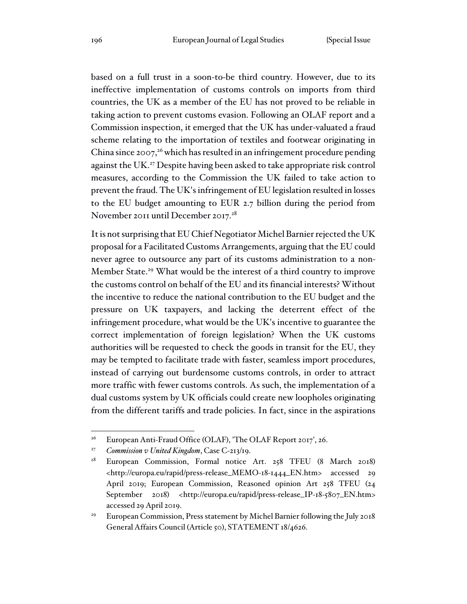based on a full trust in a soon-to-be third country. However, due to its ineffective implementation of customs controls on imports from third countries, the UK as a member of the EU has not proved to be reliable in taking action to prevent customs evasion. Following an OLAF report and a Commission inspection, it emerged that the UK has under-valuated a fraud scheme relating to the importation of textiles and footwear originating in China since 2007,<sup>26</sup> which has resulted in an infringement procedure pending against the UK.<sup>27</sup> Despite having been asked to take appropriate risk control measures, according to the Commission the UK failed to take action to prevent the fraud. The UK's infringement of EU legislation resulted in losses to the EU budget amounting to EUR 2.7 billion during the period from November 2011 until December 2017.<sup>28</sup>

It is not surprising that EU Chief Negotiator Michel Barnier rejected the UK proposal for a Facilitated Customs Arrangements, arguing that the EU could never agree to outsource any part of its customs administration to a non-Member State.<sup>29</sup> What would be the interest of a third country to improve the customs control on behalf of the EU and its financial interests? Without the incentive to reduce the national contribution to the EU budget and the pressure on UK taxpayers, and lacking the deterrent effect of the infringement procedure, what would be the UK's incentive to guarantee the correct implementation of foreign legislation? When the UK customs authorities will be requested to check the goods in transit for the EU, they may be tempted to facilitate trade with faster, seamless import procedures, instead of carrying out burdensome customs controls, in order to attract more traffic with fewer customs controls. As such, the implementation of a dual customs system by UK officials could create new loopholes originating from the different tariffs and trade policies. In fact, since in the aspirations

<sup>&</sup>lt;sup>26</sup> European Anti-Fraud Office (OLAF), 'The OLAF Report 2017', 26.

<sup>27</sup> *Commission v United Kingdom*, Case C-213/19.

<sup>28</sup> European Commission, Formal notice Art. 258 TFEU (8 March 2018) <http://europa.eu/rapid/press-release\_MEMO-18-1444\_EN.htm> accessed 29 April 2019; European Commission, Reasoned opinion Art 258 TFEU (24 September 2018) <http://europa.eu/rapid/press-release\_IP-18-5807\_EN.htm> accessed 29 April 2019.

<sup>29</sup> European Commission, Press statement by Michel Barnier following the July 2018 General Affairs Council (Article 50), STATEMENT 18/4626.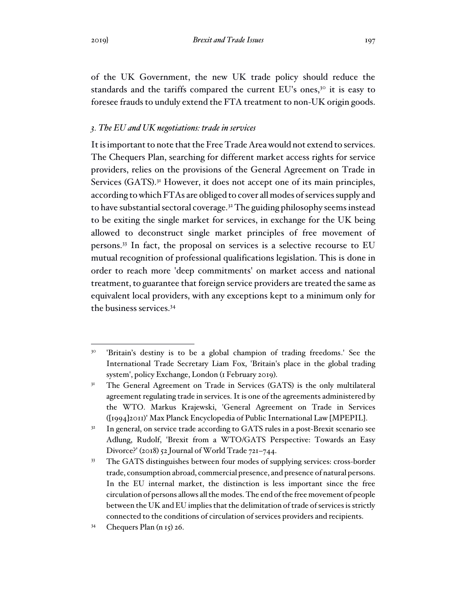of the UK Government, the new UK trade policy should reduce the standards and the tariffs compared the current EU's ones,<sup>30</sup> it is easy to foresee frauds to unduly extend the FTA treatment to non-UK origin goods.

## *3. The EU and UK negotiations: trade in services*

It is important to note that the Free Trade Area would not extend to services. The Chequers Plan, searching for different market access rights for service providers, relies on the provisions of the General Agreement on Trade in Services (GATS).<sup>31</sup> However, it does not accept one of its main principles, according to which FTAs are obliged to cover all modes of services supply and to have substantial sectoral coverage.<sup>32</sup> The guiding philosophy seems instead to be exiting the single market for services, in exchange for the UK being allowed to deconstruct single market principles of free movement of persons.<sup>33</sup> In fact, the proposal on services is a selective recourse to EU mutual recognition of professional qualifications legislation. This is done in order to reach more 'deep commitments' on market access and national treatment, to guarantee that foreign service providers are treated the same as equivalent local providers, with any exceptions kept to a minimum only for the business services.<sup>34</sup>

<sup>30</sup> 'Britain's destiny is to be a global champion of trading freedoms.' See the International Trade Secretary Liam Fox, 'Britain's place in the global trading system', policy Exchange, London (1 February 2019).

<sup>&</sup>lt;sup>31</sup> The General Agreement on Trade in Services (GATS) is the only multilateral agreement regulating trade in services. It is one of the agreements administered by the WTO. Markus Krajewski, 'General Agreement on Trade in Services ([1994]2011)' Max Planck Encyclopedia of Public International Law [MPEPIL].

<sup>&</sup>lt;sup>32</sup> In general, on service trade according to GATS rules in a post-Brexit scenario see Adlung, Rudolf, 'Brexit from a WTO/GATS Perspective: Towards an Easy Divorce?' (2018) 52 Journal of World Trade 721–744.

<sup>&</sup>lt;sup>33</sup> The GATS distinguishes between four modes of supplying services: cross-border trade, consumption abroad, commercial presence, and presence of natural persons. In the EU internal market, the distinction is less important since the free circulation of persons allows all the modes. The end of the free movement of people between the UK and EU implies that the delimitation of trade of services is strictly connected to the conditions of circulation of services providers and recipients.

 $34$  Chequers Plan (n 15) 26.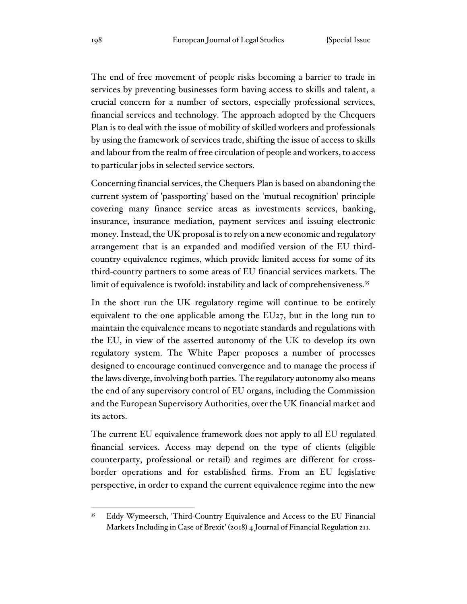The end of free movement of people risks becoming a barrier to trade in services by preventing businesses form having access to skills and talent, a crucial concern for a number of sectors, especially professional services, financial services and technology. The approach adopted by the Chequers Plan is to deal with the issue of mobility of skilled workers and professionals by using the framework of services trade, shifting the issue of access to skills and labour from the realm of free circulation of people and workers, to access to particular jobs in selected service sectors.

Concerning financial services, the Chequers Plan is based on abandoning the current system of 'passporting' based on the 'mutual recognition' principle covering many finance service areas as investments services, banking, insurance, insurance mediation, payment services and issuing electronic money. Instead, the UK proposal is to rely on a new economic and regulatory arrangement that is an expanded and modified version of the EU thirdcountry equivalence regimes, which provide limited access for some of its third-country partners to some areas of EU financial services markets. The limit of equivalence is twofold: instability and lack of comprehensiveness.<sup>35</sup>

In the short run the UK regulatory regime will continue to be entirely equivalent to the one applicable among the EU27, but in the long run to maintain the equivalence means to negotiate standards and regulations with the EU, in view of the asserted autonomy of the UK to develop its own regulatory system. The White Paper proposes a number of processes designed to encourage continued convergence and to manage the process if the laws diverge, involving both parties. The regulatory autonomy also means the end of any supervisory control of EU organs, including the Commission and the European Supervisory Authorities, over the UK financial market and its actors.

The current EU equivalence framework does not apply to all EU regulated financial services. Access may depend on the type of clients (eligible counterparty, professional or retail) and regimes are different for crossborder operations and for established firms. From an EU legislative perspective, in order to expand the current equivalence regime into the new

<sup>35</sup> Eddy Wymeersch, 'Third-Country Equivalence and Access to the EU Financial Markets Including in Case of Brexit' (2018) 4 Journal of Financial Regulation 211.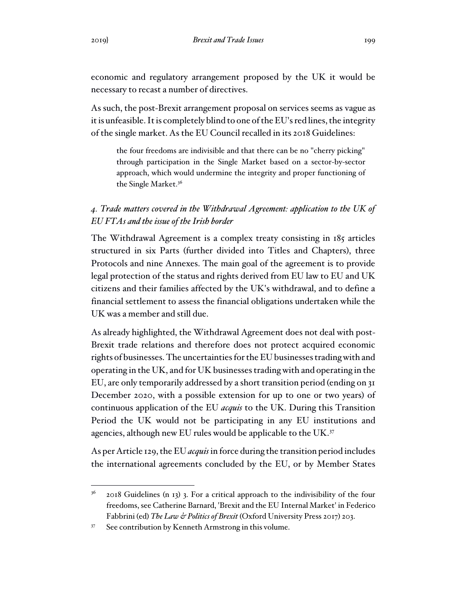economic and regulatory arrangement proposed by the UK it would be necessary to recast a number of directives.

As such, the post-Brexit arrangement proposal on services seems as vague as it is unfeasible. It is completely blind to one of the EU's red lines, the integrity of the single market. As the EU Council recalled in its 2018 Guidelines:

the four freedoms are indivisible and that there can be no "cherry picking" through participation in the Single Market based on a sector-by-sector approach, which would undermine the integrity and proper functioning of the Single Market.<sup>36</sup>

# *4. Trade matters covered in the Withdrawal Agreement: application to the UK of EU FTAs and the issue of the Irish border*

The Withdrawal Agreement is a complex treaty consisting in 185 articles structured in six Parts (further divided into Titles and Chapters), three Protocols and nine Annexes. The main goal of the agreement is to provide legal protection of the status and rights derived from EU law to EU and UK citizens and their families affected by the UK's withdrawal, and to define a financial settlement to assess the financial obligations undertaken while the UK was a member and still due.

As already highlighted, the Withdrawal Agreement does not deal with post-Brexit trade relations and therefore does not protect acquired economic rights of businesses. The uncertainties for the EU businesses trading with and operating in the UK, and for UK businesses trading with and operating in the EU, are only temporarily addressed by a short transition period (ending on 31 December 2020, with a possible extension for up to one or two years) of continuous application of the EU *acquis* to the UK. During this Transition Period the UK would not be participating in any EU institutions and agencies, although new EU rules would be applicable to the UK.<sup>37</sup>

As per Article 129, the EU *acquis* in force during the transition period includes the international agreements concluded by the EU, or by Member States

 $36$  2018 Guidelines (n 13) 3. For a critical approach to the indivisibility of the four freedoms, see Catherine Barnard, 'Brexit and the EU Internal Market' in Federico Fabbrini (ed) *The Law & Politics of Brexit* (Oxford University Press 2017) 203.

<sup>&</sup>lt;sup>37</sup> See contribution by Kenneth Armstrong in this volume.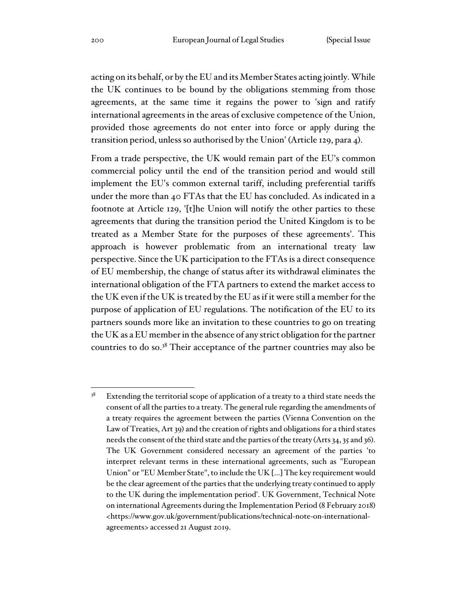acting on its behalf, or by the EU and its Member States acting jointly. While the UK continues to be bound by the obligations stemming from those agreements, at the same time it regains the power to 'sign and ratify international agreements in the areas of exclusive competence of the Union, provided those agreements do not enter into force or apply during the transition period, unless so authorised by the Union' (Article 129, para 4).

From a trade perspective, the UK would remain part of the EU's common commercial policy until the end of the transition period and would still implement the EU's common external tariff, including preferential tariffs under the more than 40 FTAs that the EU has concluded. As indicated in a footnote at Article 129, '[t]he Union will notify the other parties to these agreements that during the transition period the United Kingdom is to be treated as a Member State for the purposes of these agreements'. This approach is however problematic from an international treaty law perspective. Since the UK participation to the FTAs is a direct consequence of EU membership, the change of status after its withdrawal eliminates the international obligation of the FTA partners to extend the market access to the UK even if the UK is treated by the EU as if it were still a member for the purpose of application of EU regulations. The notification of the EU to its partners sounds more like an invitation to these countries to go on treating the UK as a EU member in the absence of any strict obligation for the partner countries to do so.<sup>38</sup> Their acceptance of the partner countries may also be

 $38$  Extending the territorial scope of application of a treaty to a third state needs the consent of all the parties to a treaty. The general rule regarding the amendments of a treaty requires the agreement between the parties (Vienna Convention on the Law of Treaties, Art 39) and the creation of rights and obligations for a third states needs the consent of the third state and the parties of the treaty (Arts 34, 35 and 36). The UK Government considered necessary an agreement of the parties 'to interpret relevant terms in these international agreements, such as "European Union" or "EU Member State", to include the UK […] The key requirement would be the clear agreement of the parties that the underlying treaty continued to apply to the UK during the implementation period'. UK Government, Technical Note on international Agreements during the Implementation Period (8 February 2018) <https://www.gov.uk/government/publications/technical-note-on-internationalagreements> accessed 21 August 2019.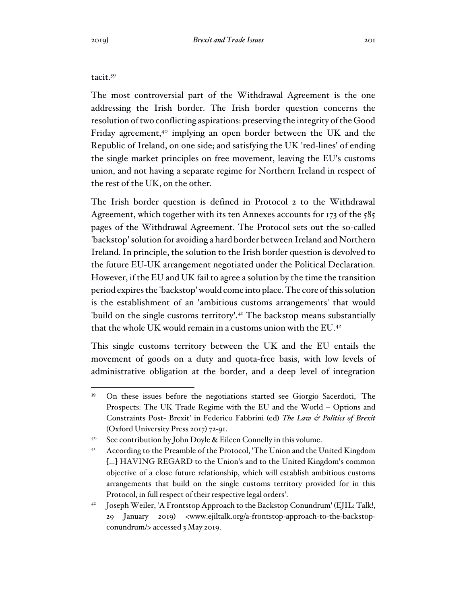### tacit.<sup>39</sup>

The most controversial part of the Withdrawal Agreement is the one addressing the Irish border. The Irish border question concerns the resolution of two conflicting aspirations: preserving the integrity of the Good Friday agreement,<sup>40</sup> implying an open border between the UK and the Republic of Ireland, on one side; and satisfying the UK 'red-lines' of ending the single market principles on free movement, leaving the EU's customs union, and not having a separate regime for Northern Ireland in respect of the rest of the UK, on the other.

The Irish border question is defined in Protocol 2 to the Withdrawal Agreement, which together with its ten Annexes accounts for 173 of the 585 pages of the Withdrawal Agreement. The Protocol sets out the so-called 'backstop' solution for avoiding a hard border between Ireland and Northern Ireland. In principle, the solution to the Irish border question is devolved to the future EU-UK arrangement negotiated under the Political Declaration. However, if the EU and UK fail to agree a solution by the time the transition period expires the 'backstop' would come into place. The core of this solution is the establishment of an 'ambitious customs arrangements' that would 'build on the single customs territory'.<sup>41</sup> The backstop means substantially that the whole UK would remain in a customs union with the EU.<sup>42</sup>

This single customs territory between the UK and the EU entails the movement of goods on a duty and quota-free basis, with low levels of administrative obligation at the border, and a deep level of integration

<sup>39</sup> On these issues before the negotiations started see Giorgio Sacerdoti, 'The Prospects: The UK Trade Regime with the EU and the World – Options and Constraints Post- Brexit' in Federico Fabbrini (ed) *The Law & Politics of Brexit* (Oxford University Press 2017) 72-91.

<sup>&</sup>lt;sup>40</sup> See contribution by John Doyle & Eileen Connelly in this volume.

<sup>&</sup>lt;sup>41</sup> According to the Preamble of the Protocol, 'The Union and the United Kingdom […] HAVING REGARD to the Union's and to the United Kingdom's common objective of a close future relationship, which will establish ambitious customs arrangements that build on the single customs territory provided for in this Protocol, in full respect of their respective legal orders'.

<sup>42</sup> Joseph Weiler, 'A Frontstop Approach to the Backstop Conundrum' (EJIL: Talk!, 29 January 2019) <www.ejiltalk.org/a-frontstop-approach-to-the-backstopconundrum/> accessed 3 May 2019.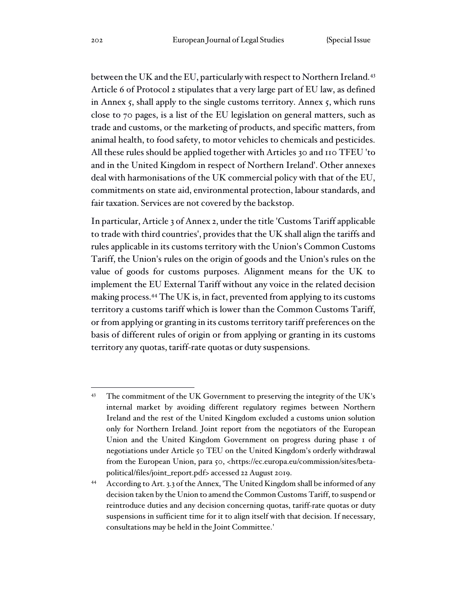between the UK and the EU, particularly with respect to Northern Ireland.<sup>43</sup> Article 6 of Protocol 2 stipulates that a very large part of EU law, as defined in Annex 5, shall apply to the single customs territory. Annex 5, which runs close to 70 pages, is a list of the EU legislation on general matters, such as trade and customs, or the marketing of products, and specific matters, from animal health, to food safety, to motor vehicles to chemicals and pesticides. All these rules should be applied together with Articles 30 and 110 TFEU 'to and in the United Kingdom in respect of Northern Ireland'. Other annexes deal with harmonisations of the UK commercial policy with that of the EU, commitments on state aid, environmental protection, labour standards, and fair taxation. Services are not covered by the backstop.

In particular, Article 3 of Annex 2, under the title 'Customs Tariff applicable to trade with third countries', provides that the UK shall align the tariffs and rules applicable in its customs territory with the Union's Common Customs Tariff, the Union's rules on the origin of goods and the Union's rules on the value of goods for customs purposes. Alignment means for the UK to implement the EU External Tariff without any voice in the related decision making process. <sup>44</sup> The UK is, in fact, prevented from applying to its customs territory a customs tariff which is lower than the Common Customs Tariff, or from applying or granting in its customs territory tariff preferences on the basis of different rules of origin or from applying or granting in its customs territory any quotas, tariff-rate quotas or duty suspensions.

<sup>&</sup>lt;sup>43</sup> The commitment of the UK Government to preserving the integrity of the UK's internal market by avoiding different regulatory regimes between Northern Ireland and the rest of the United Kingdom excluded a customs union solution only for Northern Ireland. Joint report from the negotiators of the European Union and the United Kingdom Government on progress during phase 1 of negotiations under Article 50 TEU on the United Kingdom's orderly withdrawal from the European Union, para 50, <https://ec.europa.eu/commission/sites/betapolitical/files/joint\_report.pdf> accessed 22 August 2019.

<sup>44</sup> According to Art. 3.3 of the Annex, 'The United Kingdom shall be informed of any decision taken by the Union to amend the Common Customs Tariff, to suspend or reintroduce duties and any decision concerning quotas, tariff-rate quotas or duty suspensions in sufficient time for it to align itself with that decision. If necessary, consultations may be held in the Joint Committee.'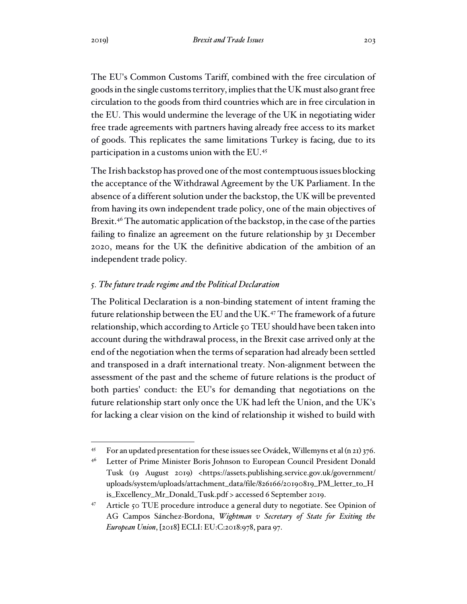The EU's Common Customs Tariff, combined with the free circulation of goods in the single customs territory, implies that the UK must also grant free circulation to the goods from third countries which are in free circulation in the EU. This would undermine the leverage of the UK in negotiating wider free trade agreements with partners having already free access to its market of goods. This replicates the same limitations Turkey is facing, due to its participation in a customs union with the EU.<sup>45</sup>

The Irish backstop has proved one of the most contemptuous issues blocking the acceptance of the Withdrawal Agreement by the UK Parliament. In the absence of a different solution under the backstop, the UK will be prevented from having its own independent trade policy, one of the main objectives of Brexit.<sup>46</sup> The automatic application of the backstop, in the case of the parties failing to finalize an agreement on the future relationship by 31 December 2020, means for the UK the definitive abdication of the ambition of an independent trade policy.

### *5. The future trade regime and the Political Declaration*

The Political Declaration is a non-binding statement of intent framing the future relationship between the EU and the UK.<sup>47</sup> The framework of a future relationship, which according to Article 50 TEU should have been taken into account during the withdrawal process, in the Brexit case arrived only at the end of the negotiation when the terms of separation had already been settled and transposed in a draft international treaty. Non-alignment between the assessment of the past and the scheme of future relations is the product of both parties' conduct: the EU's for demanding that negotiations on the future relationship start only once the UK had left the Union, and the UK's for lacking a clear vision on the kind of relationship it wished to build with

<sup>&</sup>lt;sup>45</sup> For an updated presentation for these issues see Ovádek, Willemyns et al (n 21) 376.

<sup>&</sup>lt;sup>46</sup> Letter of Prime Minister Boris Johnson to European Council President Donald Tusk (19 August 2019) <https://assets.publishing.service.gov.uk/government/ uploads/system/uploads/attachment\_data/file/826166/20190819\_PM\_letter\_to\_H is\_Excellency\_Mr\_Donald\_Tusk.pdf > accessed 6 September 2019.

<sup>47</sup> Article 50 TUE procedure introduce a general duty to negotiate. See Opinion of AG Campos Sánchez-Bordona, *Wightman v Secretary of State for Exiting the European Union*, [2018] ECLI: EU:C:2018:978, para 97.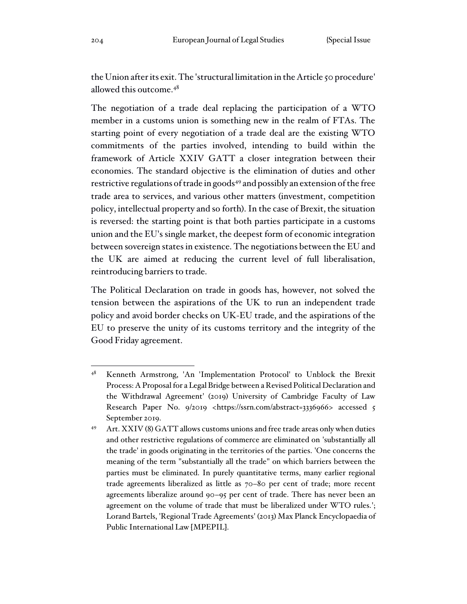the Union after its exit. The 'structural limitation in the Article 50 procedure' allowed this outcome.<sup>48</sup>

The negotiation of a trade deal replacing the participation of a WTO member in a customs union is something new in the realm of FTAs. The starting point of every negotiation of a trade deal are the existing WTO commitments of the parties involved, intending to build within the framework of Article XXIV GATT a closer integration between their economies. The standard objective is the elimination of duties and other restrictive regulations of trade in goods<sup>49</sup> and possibly an extension of the free trade area to services, and various other matters (investment, competition policy, intellectual property and so forth). In the case of Brexit, the situation is reversed: the starting point is that both parties participate in a customs union and the EU's single market, the deepest form of economic integration between sovereign states in existence. The negotiations between the EU and the UK are aimed at reducing the current level of full liberalisation, reintroducing barriers to trade.

The Political Declaration on trade in goods has, however, not solved the tension between the aspirations of the UK to run an independent trade policy and avoid border checks on UK-EU trade, and the aspirations of the EU to preserve the unity of its customs territory and the integrity of the Good Friday agreement.

<sup>48</sup> Kenneth Armstrong, 'An 'Implementation Protocol' to Unblock the Brexit Process: A Proposal for a Legal Bridge between a Revised Political Declaration and the Withdrawal Agreement' (2019) University of Cambridge Faculty of Law Research Paper No. 9/2019 <https://ssrn.com/abstract=3336966> accessed 5 September 2019.

<sup>49</sup> Art. XXIV (8) GATT allows customs unions and free trade areas only when duties and other restrictive regulations of commerce are eliminated on 'substantially all the trade' in goods originating in the territories of the parties. 'One concerns the meaning of the term "substantially all the trade" on which barriers between the parties must be eliminated. In purely quantitative terms, many earlier regional trade agreements liberalized as little as 70–80 per cent of trade; more recent agreements liberalize around 90–95 per cent of trade. There has never been an agreement on the volume of trade that must be liberalized under WTO rules.'; Lorand Bartels, 'Regional Trade Agreements' (2013) Max Planck Encyclopaedia of Public International Law [MPEPIL].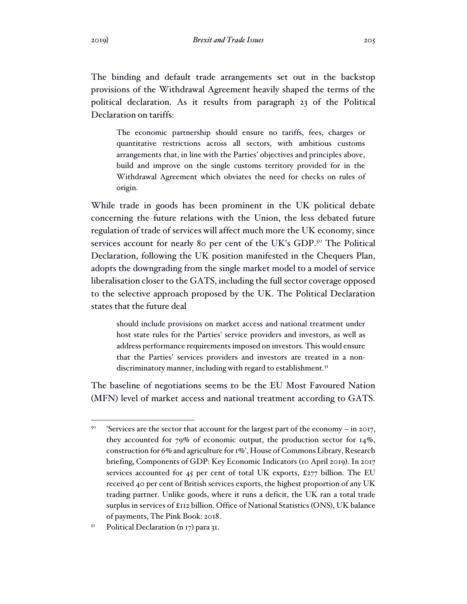The binding and default trade arrangements set out in the backstop provisions of the Withdrawal Agreement heavily shaped the terms of the political declaration. As it results from paragraph 23 of the Political Declaration on tariffs:

The economic partnership should ensure no tariffs, fees, charges or quantitative restrictions across all sectors, with ambitious customs arrangements that, in line with the Parties' objectives and principles above, build and improve on the single customs territory provided for in the Withdrawal Agreement which obviates the need for checks on rules of origin.

While trade in goods has been prominent in the UK political debate concerning the future relations with the Union, the less debated future regulation of trade of services will affect much more the UK economy, since services account for nearly 80 per cent of the UK's GDP.<sup>50</sup> The Political Declaration, following the UK position manifested in the Chequers Plan, adopts the downgrading from the single market model to a model of service liberalisation closer to the GATS, including the full sector coverage opposed to the selective approach proposed by the UK. The Political Declaration states that the future deal

should include provisions on market access and national treatment under host state rules for the Parties' service providers and investors, as well as address performance requirements imposed on investors. This would ensure that the Parties' services providers and investors are treated in a nondiscriminatory manner, including with regard to establishment.<sup>51</sup>

The baseline of negotiations seems to be the EU Most Favoured Nation (MFN) level of market access and national treatment according to GATS.

<sup>50</sup> 'Services are the sector that account for the largest part of the economy – in 2017, they accounted for 79% of economic output, the production sector for 14%, construction for 6% and agriculture for 1%', House of Commons Library, Research briefing, Components of GDP: Key Economic Indicators (10 April 2019). In 2017 services accounted for 45 per cent of total UK exports, £277 billion. The EU received 40 per cent of British services exports, the highest proportion of any UK trading partner. Unlike goods, where it runs a deficit, the UK ran a total trade surplus in services of £112 billion. Office of National Statistics (ONS), UK balance of payments, The Pink Book: 2018.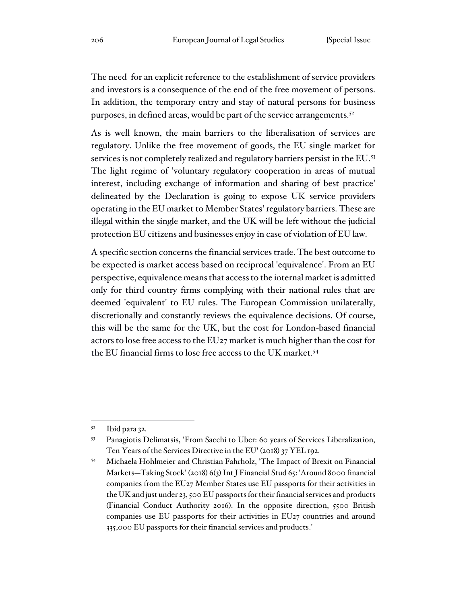The need for an explicit reference to the establishment of service providers and investors is a consequence of the end of the free movement of persons. In addition, the temporary entry and stay of natural persons for business purposes, in defined areas, would be part of the service arrangements.<sup>52</sup>

As is well known, the main barriers to the liberalisation of services are regulatory. Unlike the free movement of goods, the EU single market for services is not completely realized and regulatory barriers persist in the EU.<sup>53</sup> The light regime of 'voluntary regulatory cooperation in areas of mutual interest, including exchange of information and sharing of best practice' delineated by the Declaration is going to expose UK service providers operating in the EU market to Member States' regulatory barriers. These are illegal within the single market, and the UK will be left without the judicial protection EU citizens and businesses enjoy in case of violation of EU law.

A specific section concerns the financial services trade. The best outcome to be expected is market access based on reciprocal 'equivalence'. From an EU perspective, equivalence means that access to the internal market is admitted only for third country firms complying with their national rules that are deemed 'equivalent' to EU rules. The European Commission unilaterally, discretionally and constantly reviews the equivalence decisions. Of course, this will be the same for the UK, but the cost for London-based financial actors to lose free access to the EU27 market is much higher than the cost for the EU financial firms to lose free access to the UK market.<sup>54</sup>

 $52$  Ibid para 32.

<sup>53</sup> Panagiotis Delimatsis, 'From Sacchi to Uber: 60 years of Services Liberalization, Ten Years of the Services Directive in the EU' (2018) 37 YEL 192.

<sup>54</sup> Michaela Hohlmeier and Christian Fahrholz, 'The Impact of Brexit on Financial Markets—Taking Stock' (2018) 6(3) Int J Financial Stud 65: 'Around 8000 financial companies from the EU27 Member States use EU passports for their activities in the UK and just under 23, 500 EU passports for their financial services and products (Financial Conduct Authority 2016). In the opposite direction, 5500 British companies use EU passports for their activities in EU27 countries and around 335,000 EU passports for their financial services and products.'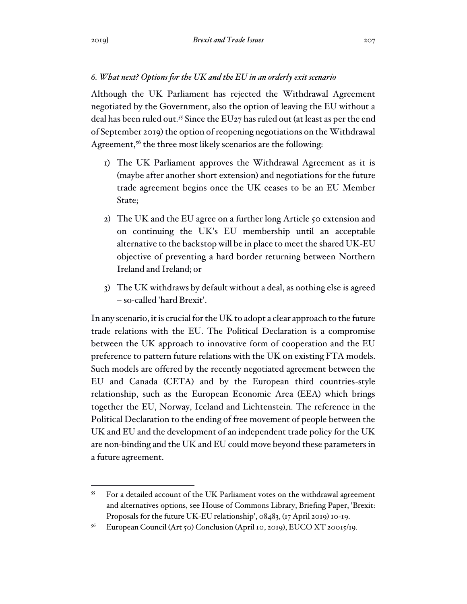### *6. What next? Options for the UK and the EU in an orderly exit scenario*

Although the UK Parliament has rejected the Withdrawal Agreement negotiated by the Government, also the option of leaving the EU without a deal has been ruled out.<sup>55</sup> Since the EU<sub>27</sub> has ruled out (at least as per the end of September 2019) the option of reopening negotiations on the Withdrawal Agreement,<sup>56</sup> the three most likely scenarios are the following:

- 1) The UK Parliament approves the Withdrawal Agreement as it is (maybe after another short extension) and negotiations for the future trade agreement begins once the UK ceases to be an EU Member State;
- 2) The UK and the EU agree on a further long Article 50 extension and on continuing the UK's EU membership until an acceptable alternative to the backstop will be in place to meet the shared UK-EU objective of preventing a hard border returning between Northern Ireland and Ireland; or
- 3) The UK withdraws by default without a deal, as nothing else is agreed – so-called 'hard Brexit'.

In any scenario, it is crucial forthe UK to adopt a clear approach to the future trade relations with the EU. The Political Declaration is a compromise between the UK approach to innovative form of cooperation and the EU preference to pattern future relations with the UK on existing FTA models. Such models are offered by the recently negotiated agreement between the EU and Canada (CETA) and by the European third countries-style relationship, such as the European Economic Area (EEA) which brings together the EU, Norway, Iceland and Lichtenstein. The reference in the Political Declaration to the ending of free movement of people between the UK and EU and the development of an independent trade policy for the UK are non-binding and the UK and EU could move beyond these parameters in a future agreement.

<sup>55</sup> For a detailed account of the UK Parliament votes on the withdrawal agreement and alternatives options, see House of Commons Library, Briefing Paper, 'Brexit: Proposals for the future UK-EU relationship', 08483, (17 April 2019) 10-19.

<sup>&</sup>lt;sup>56</sup> European Council (Art 50) Conclusion (April 10, 2019), EUCO XT 20015/19.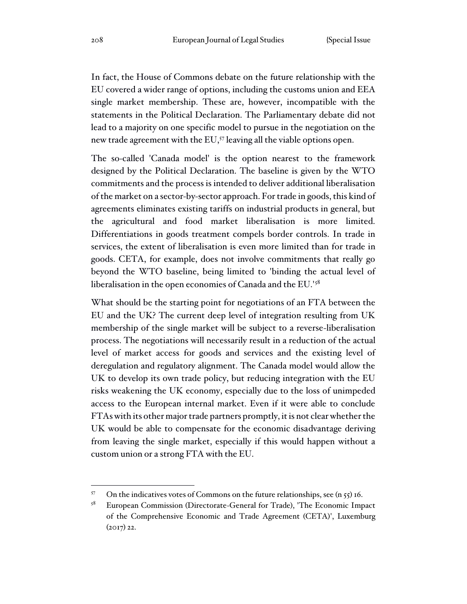In fact, the House of Commons debate on the future relationship with the EU covered a wider range of options, including the customs union and EEA single market membership. These are, however, incompatible with the statements in the Political Declaration. The Parliamentary debate did not lead to a majority on one specific model to pursue in the negotiation on the new trade agreement with the EU,<sup>57</sup> leaving all the viable options open.

The so-called 'Canada model' is the option nearest to the framework designed by the Political Declaration. The baseline is given by the WTO commitments and the process is intended to deliver additional liberalisation of the market on a sector-by-sector approach. For trade in goods, this kind of agreements eliminates existing tariffs on industrial products in general, but the agricultural and food market liberalisation is more limited. Differentiations in goods treatment compels border controls. In trade in services, the extent of liberalisation is even more limited than for trade in goods. CETA, for example, does not involve commitments that really go beyond the WTO baseline, being limited to 'binding the actual level of liberalisation in the open economies of Canada and the EU.'<sup>58</sup>

What should be the starting point for negotiations of an FTA between the EU and the UK? The current deep level of integration resulting from UK membership of the single market will be subject to a reverse-liberalisation process. The negotiations will necessarily result in a reduction of the actual level of market access for goods and services and the existing level of deregulation and regulatory alignment. The Canada model would allow the UK to develop its own trade policy, but reducing integration with the EU risks weakening the UK economy, especially due to the loss of unimpeded access to the European internal market. Even if it were able to conclude FTAs with its other major trade partners promptly, it is not clear whether the UK would be able to compensate for the economic disadvantage deriving from leaving the single market, especially if this would happen without a custom union or a strong FTA with the EU.

<sup>57</sup> On the indicatives votes of Commons on the future relationships, see (n 55) 16.

<sup>58</sup> European Commission (Directorate-General for Trade), 'The Economic Impact of the Comprehensive Economic and Trade Agreement (CETA)', Luxemburg (2017) 22.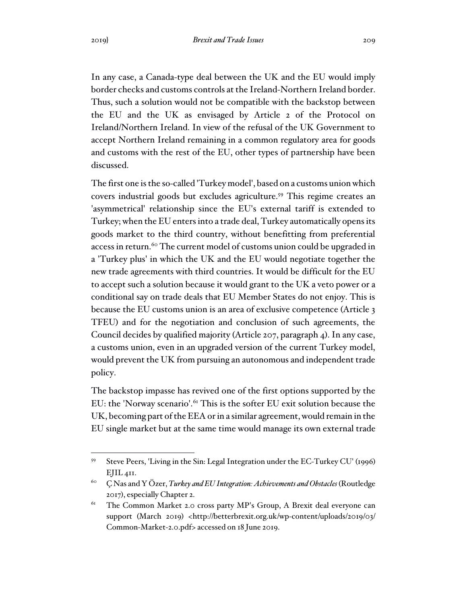In any case, a Canada-type deal between the UK and the EU would imply border checks and customs controls at the Ireland-Northern Ireland border. Thus, such a solution would not be compatible with the backstop between the EU and the UK as envisaged by Article 2 of the Protocol on Ireland/Northern Ireland. In view of the refusal of the UK Government to accept Northern Ireland remaining in a common regulatory area for goods and customs with the rest of the EU, other types of partnership have been

The first one is the so-called 'Turkey model', based on a customs union which covers industrial goods but excludes agriculture.<sup>59</sup> This regime creates an 'asymmetrical' relationship since the EU's external tariff is extended to Turkey; when the EU enters into a trade deal, Turkey automatically opens its goods market to the third country, without benefitting from preferential access in return.<sup>60</sup> The current model of customs union could be upgraded in a 'Turkey plus' in which the UK and the EU would negotiate together the new trade agreements with third countries. It would be difficult for the EU to accept such a solution because it would grant to the UK a veto power or a conditional say on trade deals that EU Member States do not enjoy. This is because the EU customs union is an area of exclusive competence (Article 3 TFEU) and for the negotiation and conclusion of such agreements, the Council decides by qualified majority (Article 207, paragraph 4). In any case, a customs union, even in an upgraded version of the current Turkey model, would prevent the UK from pursuing an autonomous and independent trade policy.

The backstop impasse has revived one of the first options supported by the EU: the 'Norway scenario'.<sup>61</sup> This is the softer EU exit solution because the UK, becoming part of the EEA or in a similar agreement, would remain in the EU single market but at the same time would manage its own external trade

discussed.

<sup>59</sup> Steve Peers, 'Living in the Sin: Legal Integration under the EC-Turkey CU' (1996)  $EJIL$  411.

<sup>60</sup> Ç Nas and Y Özer, *Turkey and EU Integration: Achievements and Obstacles* (Routledge 2017), especially Chapter 2.

<sup>&</sup>lt;sup>61</sup> The Common Market 2.0 cross party MP's Group, A Brexit deal everyone can support (March 2019) <http://betterbrexit.org.uk/wp-content/uploads/2019/03/ Common-Market-2.0.pdf> accessed on 18 June 2019.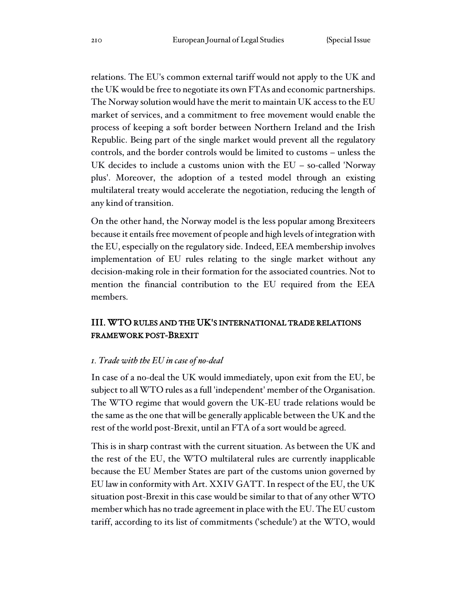relations. The EU's common external tariff would not apply to the UK and the UK would be free to negotiate its own FTAs and economic partnerships. The Norway solution would have the merit to maintain UK access to the EU market of services, and a commitment to free movement would enable the process of keeping a soft border between Northern Ireland and the Irish Republic. Being part of the single market would prevent all the regulatory controls, and the border controls would be limited to customs – unless the UK decides to include a customs union with the EU – so-called 'Norway plus'. Moreover, the adoption of a tested model through an existing multilateral treaty would accelerate the negotiation, reducing the length of any kind of transition.

On the other hand, the Norway model is the less popular among Brexiteers because it entails free movement of people and high levels of integration with the EU, especially on the regulatory side. Indeed, EEA membership involves implementation of EU rules relating to the single market without any decision-making role in their formation for the associated countries. Not to mention the financial contribution to the EU required from the EEA members.

# III. WTO RULES AND THE UK'S INTERNATIONAL TRADE RELATIONS FRAMEWORK POST-BREXIT

### *1. Trade with the EU in case of no-deal*

In case of a no-deal the UK would immediately, upon exit from the EU, be subject to all WTO rules as a full 'independent' member of the Organisation. The WTO regime that would govern the UK-EU trade relations would be the same as the one that will be generally applicable between the UK and the rest of the world post-Brexit, until an FTA of a sort would be agreed.

This is in sharp contrast with the current situation. As between the UK and the rest of the EU, the WTO multilateral rules are currently inapplicable because the EU Member States are part of the customs union governed by EU law in conformity with Art. XXIV GATT. In respect of the EU, the UK situation post-Brexit in this case would be similar to that of any other WTO member which has no trade agreement in place with the EU. The EU custom tariff, according to its list of commitments ('schedule') at the WTO, would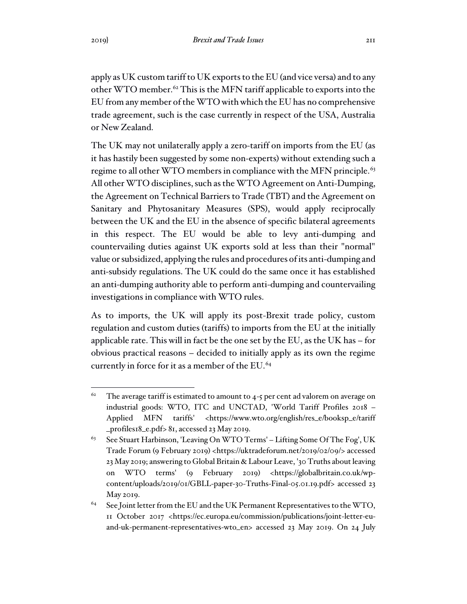apply as UK custom tariff to UK exports to the EU (and vice versa) and to any other WTO member.<sup>62</sup> This is the MFN tariff applicable to exports into the EU from any member of the WTO with which the EU has no comprehensive trade agreement, such is the case currently in respect of the USA, Australia or New Zealand.

The UK may not unilaterally apply a zero-tariff on imports from the EU (as it has hastily been suggested by some non-experts) without extending such a regime to all other WTO members in compliance with the MFN principle.<sup>63</sup> All other WTO disciplines, such as the WTO Agreement on Anti-Dumping, the Agreement on Technical Barriers to Trade (TBT) and the Agreement on Sanitary and Phytosanitary Measures (SPS), would apply reciprocally between the UK and the EU in the absence of specific bilateral agreements in this respect. The EU would be able to levy anti-dumping and countervailing duties against UK exports sold at less than their "normal" value or subsidized, applying the rules and procedures of its anti-dumping and anti-subsidy regulations. The UK could do the same once it has established an anti-dumping authority able to perform anti-dumping and countervailing investigations in compliance with WTO rules.

As to imports, the UK will apply its post-Brexit trade policy, custom regulation and custom duties (tariffs) to imports from the EU at the initially applicable rate. This will in fact be the one set by the EU, as the UK has – for obvious practical reasons – decided to initially apply as its own the regime currently in force for it as a member of the EU.<sup>64</sup>

<sup>&</sup>lt;sup>62</sup> The average tariff is estimated to amount to 4-5 per cent ad valorem on average on industrial goods: WTO, ITC and UNCTAD, 'World Tariff Profiles 2018 – Applied MFN tariffs' <https://www.wto.org/english/res\_e/booksp\_e/tariff \_profiles18\_e.pdf> 81, accessed 23 May 2019.

<sup>&</sup>lt;sup>63</sup> See Stuart Harbinson, 'Leaving On WTO Terms' – Lifting Some Of The Fog', UK Trade Forum (9 February 2019) <https://uktradeforum.net/2019/02/09/> accessed 23 May 2019; answering to Global Britain & Labour Leave, '30 Truths about leaving on WTO terms' (9 February 2019) <https://globalbritain.co.uk/wpcontent/uploads/2019/01/GBLL-paper-30-Truths-Final-05.01.19.pdf> accessed 23 May 2019.

 $64$  See Joint letter from the EU and the UK Permanent Representatives to the WTO, 11 October 2017 <https://ec.europa.eu/commission/publications/joint-letter-euand-uk-permanent-representatives-wto\_en> accessed 23 May 2019. On 24 July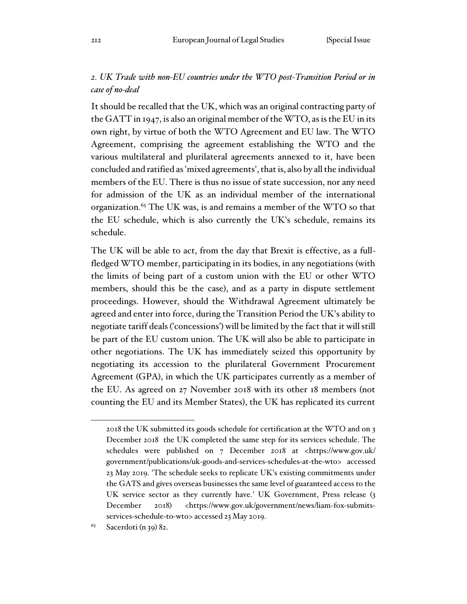# *2. UK Trade with non-EU countries under the WTO post-Transition Period or in case of no-deal*

It should be recalled that the UK, which was an original contracting party of the GATT in 1947, is also an original member of the WTO, as is the EU in its own right, by virtue of both the WTO Agreement and EU law. The WTO Agreement, comprising the agreement establishing the WTO and the various multilateral and plurilateral agreements annexed to it, have been concluded and ratified as 'mixed agreements', that is, also by all the individual members of the EU. There is thus no issue of state succession, nor any need for admission of the UK as an individual member of the international organization.<sup>65</sup> The UK was, is and remains a member of the WTO so that the EU schedule, which is also currently the UK's schedule, remains its schedule.

The UK will be able to act, from the day that Brexit is effective, as a fullfledged WTO member, participating in its bodies, in any negotiations (with the limits of being part of a custom union with the EU or other WTO members, should this be the case), and as a party in dispute settlement proceedings. However, should the Withdrawal Agreement ultimately be agreed and enter into force, during the Transition Period the UK's ability to negotiate tariff deals ('concessions') will be limited by the fact that it will still be part of the EU custom union. The UK will also be able to participate in other negotiations. The UK has immediately seized this opportunity by negotiating its accession to the plurilateral Government Procurement Agreement (GPA), in which the UK participates currently as a member of the EU. As agreed on 27 November 2018 with its other 18 members (not counting the EU and its Member States), the UK has replicated its current

<sup>2018</sup> the UK submitted its goods schedule for certification at the WTO and on 3 December 2018 the UK completed the same step for its services schedule. The schedules were published on 7 December 2018 at <https://www.gov.uk/ government/publications/uk-goods-and-services-schedules-at-the-wto> accessed 23 May 2019. 'The schedule seeks to replicate UK's existing commitments under the GATS and gives overseas businesses the same level of guaranteed access to the UK service sector as they currently have.' UK Government, Press release (3 December 2018) <https://www.gov.uk/government/news/liam-fox-submitsservices-schedule-to-wto> accessed 23 May 2019.

 $65$  Sacerdoti (n 39) 82.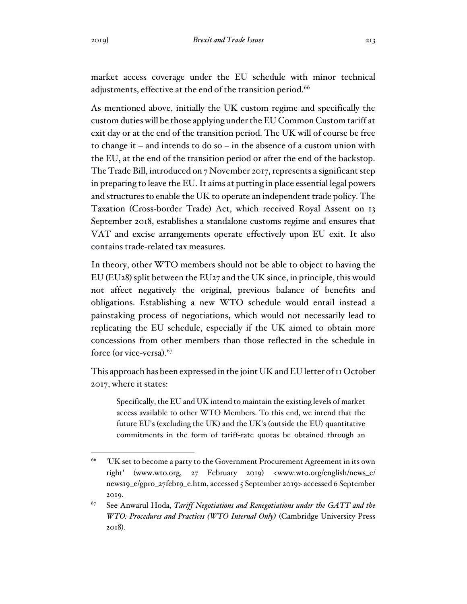market access coverage under the EU schedule with minor technical adjustments, effective at the end of the transition period.<sup>66</sup>

As mentioned above, initially the UK custom regime and specifically the custom duties will be those applying under the EU Common Custom tariff at exit day or at the end of the transition period. The UK will of course be free to change it – and intends to do so – in the absence of a custom union with the EU, at the end of the transition period or after the end of the backstop. The Trade Bill, introduced on 7 November 2017, represents a significant step in preparing to leave the EU. It aims at putting in place essential legal powers and structures to enable the UK to operate an independent trade policy. The Taxation (Cross-border Trade) Act, which received Royal Assent on 13 September 2018, establishes a standalone customs regime and ensures that VAT and excise arrangements operate effectively upon EU exit. It also contains trade-related tax measures.

In theory, other WTO members should not be able to object to having the EU (EU28) split between the EU27 and the UK since, in principle, this would not affect negatively the original, previous balance of benefits and obligations. Establishing a new WTO schedule would entail instead a painstaking process of negotiations, which would not necessarily lead to replicating the EU schedule, especially if the UK aimed to obtain more concessions from other members than those reflected in the schedule in force (or vice-versa). $67$ 

This approach has been expressed in the joint UK and EU letter of 11 October 2017, where it states:

Specifically, the EU and UK intend to maintain the existing levels of market access available to other WTO Members. To this end, we intend that the future EU's (excluding the UK) and the UK's (outside the EU) quantitative commitments in the form of tariff-rate quotas be obtained through an

<sup>66</sup> 'UK set to become a party to the Government Procurement Agreement in its own right' (www.wto.org, 27 February 2019) <www.wto.org/english/news\_e/ news19\_e/gpro\_27feb19\_e.htm, accessed 5 September 2019> accessed 6 September 2019.

<sup>67</sup> See Anwarul Hoda, *Tariff Negotiations and Renegotiations under the GATT and the WTO: Procedures and Practices (WTO Internal Only)* (Cambridge University Press 2018).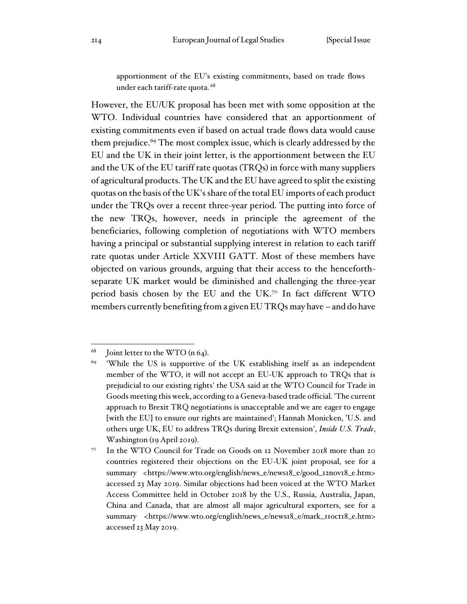apportionment of the EU's existing commitments, based on trade flows under each tariff-rate quota. <sup>68</sup>

However, the EU/UK proposal has been met with some opposition at the WTO. Individual countries have considered that an apportionment of existing commitments even if based on actual trade flows data would cause them prejudice.<sup>69</sup> The most complex issue, which is clearly addressed by the EU and the UK in their joint letter, is the apportionment between the EU and the UK of the EU tariff rate quotas (TRQs) in force with many suppliers of agricultural products. The UK and the EU have agreed to split the existing quotas on the basis of the UK's share of the total EU imports of each product under the TRQs over a recent three-year period. The putting into force of the new TRQs, however, needs in principle the agreement of the beneficiaries, following completion of negotiations with WTO members having a principal or substantial supplying interest in relation to each tariff rate quotas under Article XXVIII GATT. Most of these members have objected on various grounds, arguing that their access to the henceforthseparate UK market would be diminished and challenging the three-year period basis chosen by the EU and the UK.7º In fact different WTO members currently benefiting from a given EU TRQs may have – and do have

 $68$  Joint letter to the WTO (n 64).

<sup>69</sup> 'While the US is supportive of the UK establishing itself as an independent member of the WTO, it will not accept an EU-UK approach to TRQs that is prejudicial to our existing rights' the USA said at the WTO Council for Trade in Goods meeting this week, according to a Geneva-based trade official. 'The current approach to Brexit TRQ negotiations is unacceptable and we are eager to engage [with the EU] to ensure our rights are maintained'; Hannah Monicken, 'U.S. and others urge UK, EU to address TRQs during Brexit extension', *Inside U.S. Trade*, Washington (19 April 2019).

<sup>&</sup>lt;sup>70</sup> In the WTO Council for Trade on Goods on 12 November 2018 more than 20 countries registered their objections on the EU-UK joint proposal, see for a summary <https://www.wto.org/english/news\_e/news18\_e/good\_12nov18\_e.htm> accessed 23 May 2019. Similar objections had been voiced at the WTO Market Access Committee held in October 2018 by the U.S., Russia, Australia, Japan, China and Canada, that are almost all major agricultural exporters, see for a summary <https://www.wto.org/english/news\_e/news18\_e/mark\_11oct18\_e.htm> accessed 23 May 2019.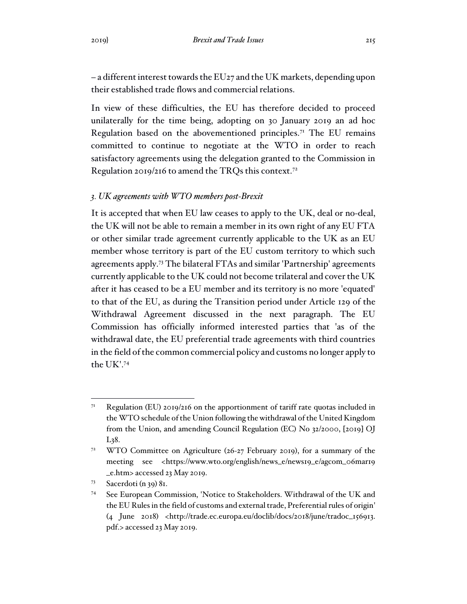– a different interest towards the EU27 and the UK markets, depending upon their established trade flows and commercial relations.

In view of these difficulties, the EU has therefore decided to proceed unilaterally for the time being, adopting on 30 January 2019 an ad hoc Regulation based on the abovementioned principles.<sup>71</sup> The EU remains committed to continue to negotiate at the WTO in order to reach satisfactory agreements using the delegation granted to the Commission in Regulation 2019/216 to amend the TRQs this context.<sup>72</sup>

#### *3. UK agreements with WTO members post-Brexit*

It is accepted that when EU law ceases to apply to the UK, deal or no-deal, the UK will not be able to remain a member in its own right of any EU FTA or other similar trade agreement currently applicable to the UK as an EU member whose territory is part of the EU custom territory to which such agreements apply. <sup>73</sup> The bilateral FTAs and similar 'Partnership' agreements currently applicable to the UK could not become trilateral and cover the UK after it has ceased to be a EU member and its territory is no more 'equated' to that of the EU, as during the Transition period under Article 129 of the Withdrawal Agreement discussed in the next paragraph. The EU Commission has officially informed interested parties that 'as of the withdrawal date, the EU preferential trade agreements with third countries in the field of the common commercial policy and customs no longer apply to the UK'.<sup>74</sup>

<sup>&</sup>lt;sup>71</sup> Regulation (EU) 2019/216 on the apportionment of tariff rate quotas included in the WTO schedule of the Union following the withdrawal of the United Kingdom from the Union, and amending Council Regulation (EC) No 32/2000, [2019] OJ L38.

<sup>&</sup>lt;sup>72</sup> WTO Committee on Agriculture (26-27 February 2019), for a summary of the meeting see <https://www.wto.org/english/news\_e/news19\_e/agcom\_06mar19 \_e.htm> accessed 23 May 2019.

 $73$  Sacerdoti (n 39) 81.

<sup>74</sup> See European Commission, 'Notice to Stakeholders. Withdrawal of the UK and the EU Rules in the field of customs and external trade, Preferential rules of origin' (4 June 2018) <http://trade.ec.europa.eu/doclib/docs/2018/june/tradoc\_156913. pdf.> accessed 23 May 2019.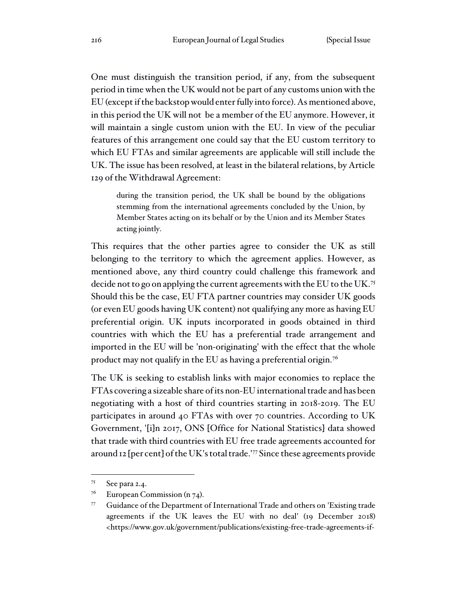One must distinguish the transition period, if any, from the subsequent period in time when the UK would not be part of any customs union with the EU (except if the backstop would enter fully into force). As mentioned above, in this period the UK will not be a member of the EU anymore. However, it will maintain a single custom union with the EU. In view of the peculiar features of this arrangement one could say that the EU custom territory to which EU FTAs and similar agreements are applicable will still include the UK. The issue has been resolved, at least in the bilateral relations, by Article 129 of the Withdrawal Agreement:

during the transition period, the UK shall be bound by the obligations stemming from the international agreements concluded by the Union, by Member States acting on its behalf or by the Union and its Member States acting jointly.

This requires that the other parties agree to consider the UK as still belonging to the territory to which the agreement applies. However, as mentioned above, any third country could challenge this framework and decide not to go on applying the current agreements with the EU to the UK.<sup>75</sup> Should this be the case, EU FTA partner countries may consider UK goods (or even EU goods having UK content) not qualifying any more as having EU preferential origin. UK inputs incorporated in goods obtained in third countries with which the EU has a preferential trade arrangement and imported in the EU will be 'non-originating' with the effect that the whole product may not qualify in the EU as having a preferential origin.<sup>76</sup>

The UK is seeking to establish links with major economies to replace the FTAs covering a sizeable share of its non-EU international trade and has been negotiating with a host of third countries starting in 2018-2019. The EU participates in around 40 FTAs with over 70 countries. According to UK Government, '[i]n 2017, ONS [Office for National Statistics] data showed that trade with third countries with EU free trade agreements accounted for around 12 [per cent] of the UK's total trade.'<sup>77</sup> Since these agreements provide

<sup>75</sup> See para 2.4.

 $7<sup>6</sup>$  European Commission (n  $74$ ).

<sup>77</sup> Guidance of the Department of International Trade and others on 'Existing trade agreements if the UK leaves the EU with no deal' (19 December 2018) <https://www.gov.uk/government/publications/existing-free-trade-agreements-if-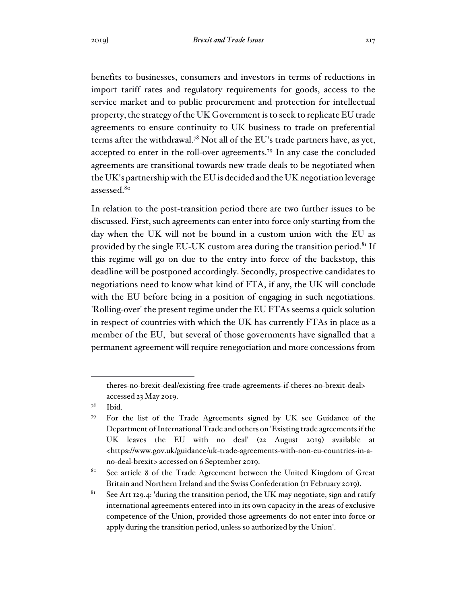benefits to businesses, consumers and investors in terms of reductions in import tariff rates and regulatory requirements for goods, access to the service market and to public procurement and protection for intellectual property, the strategy of the UK Government is to seek to replicate EU trade agreements to ensure continuity to UK business to trade on preferential terms after the withdrawal.<sup>78</sup> Not all of the EU's trade partners have, as yet, accepted to enter in the roll-over agreements.<sup>79</sup> In any case the concluded agreements are transitional towards new trade deals to be negotiated when the UK's partnership with the EU is decided and the UK negotiation leverage assessed.<sup>80</sup>

In relation to the post-transition period there are two further issues to be discussed. First, such agreements can enter into force only starting from the day when the UK will not be bound in a custom union with the EU as provided by the single EU-UK custom area during the transition period.<sup>81</sup> If this regime will go on due to the entry into force of the backstop, this deadline will be postponed accordingly. Secondly, prospective candidates to negotiations need to know what kind of FTA, if any, the UK will conclude with the EU before being in a position of engaging in such negotiations. 'Rolling-over' the present regime under the EU FTAs seems a quick solution in respect of countries with which the UK has currently FTAs in place as a member of the EU, but several of those governments have signalled that a permanent agreement will require renegotiation and more concessions from

theres-no-brexit-deal/existing-free-trade-agreements-if-theres-no-brexit-deal> accessed 23 May 2019.

<sup>78</sup> Ibid.

<sup>79</sup> For the list of the Trade Agreements signed by UK see Guidance of the Department of International Trade and others on 'Existing trade agreements if the UK leaves the EU with no deal' (22 August 2019) available at <https://www.gov.uk/guidance/uk-trade-agreements-with-non-eu-countries-in-ano-deal-brexit> accessed on 6 September 2019.

<sup>&</sup>lt;sup>80</sup> See article 8 of the Trade Agreement between the United Kingdom of Great Britain and Northern Ireland and the Swiss Confederation (11 February 2019).

<sup>&</sup>lt;sup>81</sup> See Art 129.4: 'during the transition period, the UK may negotiate, sign and ratify international agreements entered into in its own capacity in the areas of exclusive competence of the Union, provided those agreements do not enter into force or apply during the transition period, unless so authorized by the Union'.